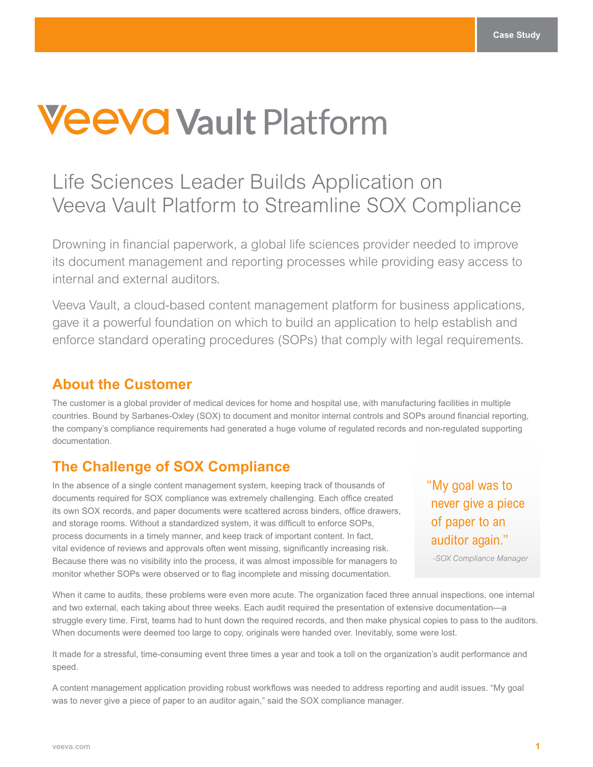# **VeeVO Vault Platform**

## Life Sciences Leader Builds Application on Veeva Vault Platform to Streamline SOX Compliance

Drowning in financial paperwork, a global life sciences provider needed to improve its document management and reporting processes while providing easy access to internal and external auditors.

Veeva Vault, a cloud-based content management platform for business applications, gave it a powerful foundation on which to build an application to help establish and enforce standard operating procedures (SOPs) that comply with legal requirements.

## **About the Customer**

The customer is a global provider of medical devices for home and hospital use, with manufacturing facilities in multiple countries. Bound by Sarbanes-Oxley (SOX) to document and monitor internal controls and SOPs around financial reporting, the company's compliance requirements had generated a huge volume of regulated records and non-regulated supporting documentation.

## **The Challenge of SOX Compliance**

In the absence of a single content management system, keeping track of thousands of documents required for SOX compliance was extremely challenging. Each office created its own SOX records, and paper documents were scattered across binders, office drawers, and storage rooms. Without a standardized system, it was difficult to enforce SOPs, process documents in a timely manner, and keep track of important content. In fact, vital evidence of reviews and approvals often went missing, significantly increasing risk. Because there was no visibility into the process, it was almost impossible for managers to monitor whether SOPs were observed or to flag incomplete and missing documentation.

"My goal was to never give a piece of paper to an auditor again."

*-SOX Compliance Manager*

When it came to audits, these problems were even more acute. The organization faced three annual inspections, one internal and two external, each taking about three weeks. Each audit required the presentation of extensive documentation—a struggle every time. First, teams had to hunt down the required records, and then make physical copies to pass to the auditors. When documents were deemed too large to copy, originals were handed over. Inevitably, some were lost.

It made for a stressful, time-consuming event three times a year and took a toll on the organization's audit performance and speed.

A content management application providing robust workflows was needed to address reporting and audit issues. "My goal was to never give a piece of paper to an auditor again," said the SOX compliance manager.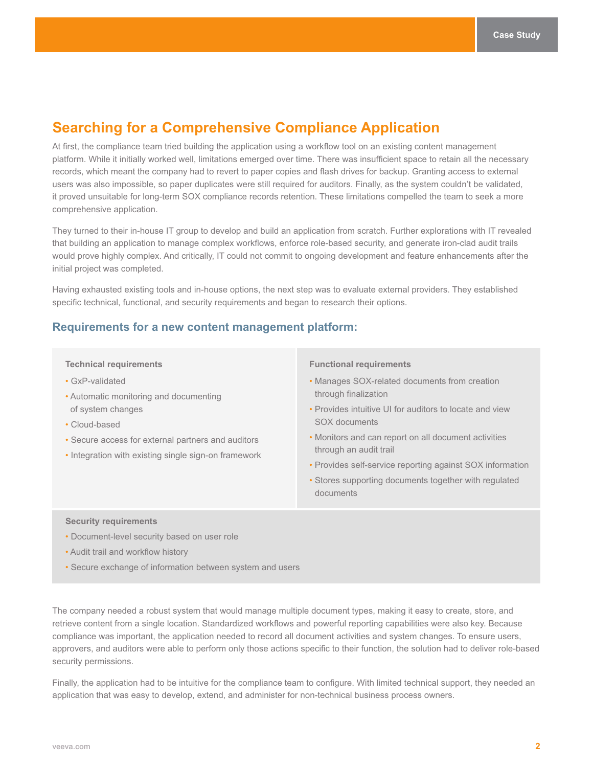## **Searching for a Comprehensive Compliance Application**

At first, the compliance team tried building the application using a workflow tool on an existing content management platform. While it initially worked well, limitations emerged over time. There was insufficient space to retain all the necessary records, which meant the company had to revert to paper copies and flash drives for backup. Granting access to external users was also impossible, so paper duplicates were still required for auditors. Finally, as the system couldn't be validated, it proved unsuitable for long-term SOX compliance records retention. These limitations compelled the team to seek a more comprehensive application.

They turned to their in-house IT group to develop and build an application from scratch. Further explorations with IT revealed that building an application to manage complex workflows, enforce role-based security, and generate iron-clad audit trails would prove highly complex. And critically, IT could not commit to ongoing development and feature enhancements after the initial project was completed.

Having exhausted existing tools and in-house options, the next step was to evaluate external providers. They established specific technical, functional, and security requirements and began to research their options.

#### **Requirements for a new content management platform:**

#### **Technical requirements**

- GxP-validated
- Automatic monitoring and documenting of system changes
- Cloud-based
- Secure access for external partners and auditors
- Integration with existing single sign-on framework

#### **Functional requirements**

- Manages SOX-related documents from creation through finalization
- Provides intuitive UI for auditors to locate and view SOX documents
- Monitors and can report on all document activities through an audit trail
- Provides self-service reporting against SOX information
- Stores supporting documents together with regulated documents

#### **Security requirements**

- Document-level security based on user role
- Audit trail and workflow history
- Secure exchange of information between system and users

The company needed a robust system that would manage multiple document types, making it easy to create, store, and retrieve content from a single location. Standardized workflows and powerful reporting capabilities were also key. Because compliance was important, the application needed to record all document activities and system changes. To ensure users, approvers, and auditors were able to perform only those actions specific to their function, the solution had to deliver role-based security permissions.

Finally, the application had to be intuitive for the compliance team to configure. With limited technical support, they needed an application that was easy to develop, extend, and administer for non-technical business process owners.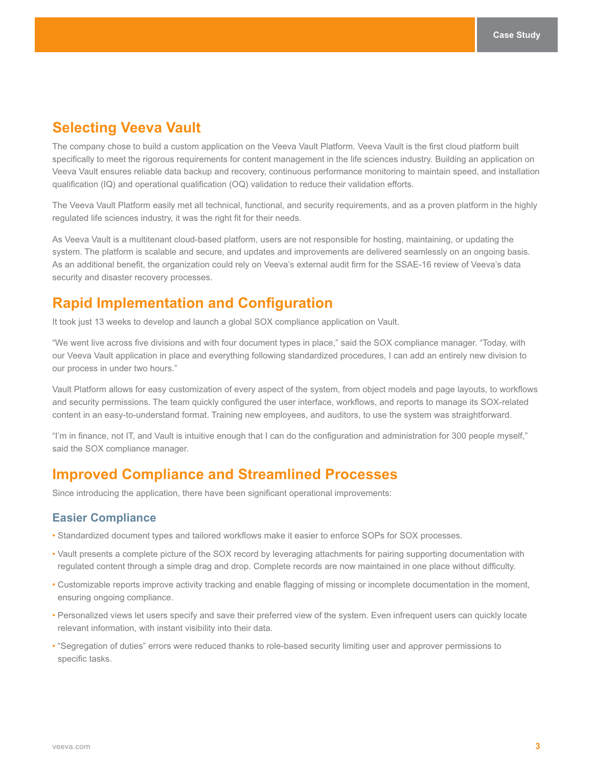## **Selecting Veeva Vault**

The company chose to build a custom application on the Veeva Vault Platform. Veeva Vault is the first cloud platform built specifically to meet the rigorous requirements for content management in the life sciences industry. Building an application on Veeva Vault ensures reliable data backup and recovery, continuous performance monitoring to maintain speed, and installation qualification (IQ) and operational qualification (OQ) validation to reduce their validation efforts.

The Veeva Vault Platform easily met all technical, functional, and security requirements, and as a proven platform in the highly regulated life sciences industry, it was the right fit for their needs.

As Veeva Vault is a multitenant cloud-based platform, users are not responsible for hosting, maintaining, or updating the system. The platform is scalable and secure, and updates and improvements are delivered seamlessly on an ongoing basis. As an additional benefit, the organization could rely on Veeva's external audit firm for the SSAE-16 review of Veeva's data security and disaster recovery processes.

## **Rapid Implementation and Configuration**

It took just 13 weeks to develop and launch a global SOX compliance application on Vault.

"We went live across five divisions and with four document types in place," said the SOX compliance manager. "Today, with our Veeva Vault application in place and everything following standardized procedures, I can add an entirely new division to our process in under two hours."

Vault Platform allows for easy customization of every aspect of the system, from object models and page layouts, to workflows and security permissions. The team quickly configured the user interface, workflows, and reports to manage its SOX-related content in an easy-to-understand format. Training new employees, and auditors, to use the system was straightforward.

"I'm in finance, not IT, and Vault is intuitive enough that I can do the configuration and administration for 300 people myself," said the SOX compliance manager.

## **Improved Compliance and Streamlined Processes**

Since introducing the application, there have been significant operational improvements:

#### **Easier Compliance**

- Standardized document types and tailored workflows make it easier to enforce SOPs for SOX processes.
- Vault presents a complete picture of the SOX record by leveraging attachments for pairing supporting documentation with regulated content through a simple drag and drop. Complete records are now maintained in one place without difficulty.
- Customizable reports improve activity tracking and enable flagging of missing or incomplete documentation in the moment, ensuring ongoing compliance.
- Personalized views let users specify and save their preferred view of the system. Even infrequent users can quickly locate relevant information, with instant visibility into their data.
- "Segregation of duties" errors were reduced thanks to role-based security limiting user and approver permissions to specific tasks.